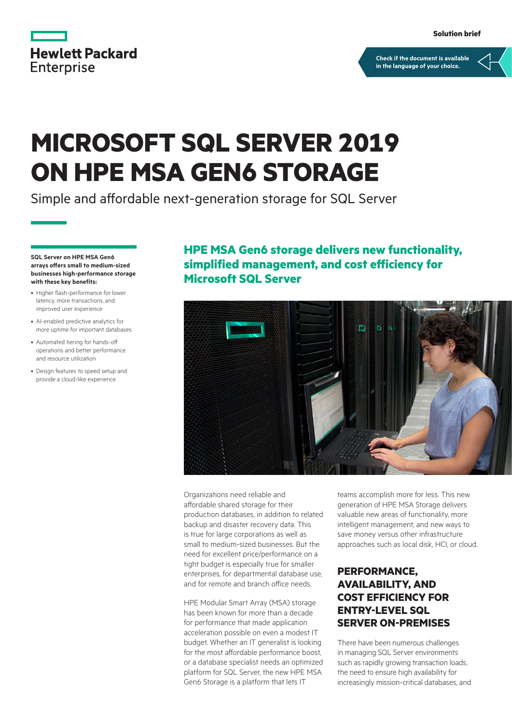

**[Check if the document is available](https://www.hpe.com/psnow/collection-resources/a00106201ENW)  in the language of your choice.**

# **MICROSOFT SQL SERVER 2019 ON HPE MSA GEN6 STORAGE**

Simple and affordable next-generation storage for SQL Server

**SQL Server on HPE MSA Gen6 arrays offers small to medium-sized businesses high-performance storage with these key benefits:**

- Higher flash-performance for lower latency, more transactions, and improved user experience
- AI-enabled predictive analytics for more uptime for important databases
- Automated tiering for hands-off operations and better performance and resource utilization
- Design features to speed setup and provide a cloud-like experience

# **HPE MSA Gen6 storage delivers new functionality, simplified management, and cost efficiency for Microsoft SQL Server**



Organizations need reliable and affordable shared storage for their production databases, in addition to related backup and disaster recovery data. This is true for large corporations as well as small to medium-sized businesses. But the need for excellent price/performance on a tight budget is especially true for smaller enterprises, for departmental database use, and for remote and branch office needs.

HPE Modular Smart Array (MSA) storage has been known for more than a decade for performance that made application acceleration possible on even a modest IT budget. Whether an IT generalist is looking for the most affordable performance boost, or a database specialist needs an optimized platform for SQL Server, the new HPE MSA Gen6 Storage is a platform that lets IT

teams accomplish more for less. This new generation of HPE MSA Storage delivers valuable new areas of functionality, more intelligent management, and new ways to save money versus other infrastructure approaches such as local disk, HCI, or cloud.

# **PERFORMANCE, AVAILABILITY, AND COST EFFICIENCY FOR ENTRY-LEVEL SQL SERVER ON-PREMISES**

There have been numerous challenges in managing SQL Server environments such as rapidly growing transaction loads, the need to ensure high availability for increasingly mission-critical databases, and